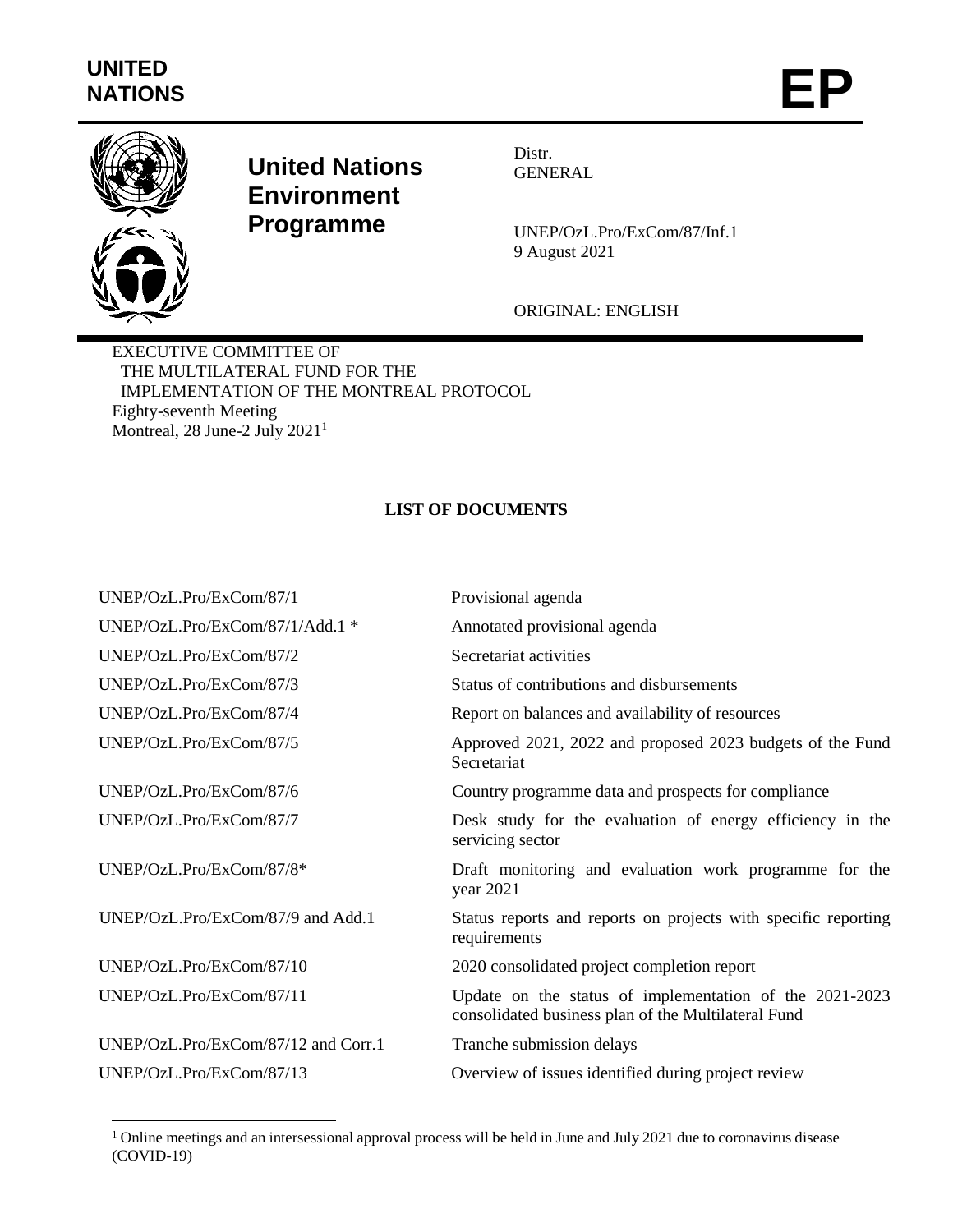

 $\overline{a}$ 

## **United Nations Environment Programme**

Distr. GENERAL

UNEP/OzL.Pro/ExCom/87/Inf.1 9 August 2021

ORIGINAL: ENGLISH

EXECUTIVE COMMITTEE OF THE MULTILATERAL FUND FOR THE IMPLEMENTATION OF THE MONTREAL PROTOCOL Eighty-seventh Meeting Montreal, 28 June-2 July 2021<sup>1</sup>

## **LIST OF DOCUMENTS**

| UNEP/OzL.Pro/ExCom/87/1             | Provisional agenda                                                                                             |
|-------------------------------------|----------------------------------------------------------------------------------------------------------------|
| UNEP/OzL.Pro/ExCom/87/1/Add.1 *     | Annotated provisional agenda                                                                                   |
| UNEP/OzL.Pro/ExCom/87/2             | Secretariat activities                                                                                         |
| UNEP/OzL.Pro/ExCom/87/3             | Status of contributions and disbursements                                                                      |
| UNEP/OzL.Pro/ExCom/87/4             | Report on balances and availability of resources                                                               |
| UNEP/OzL.Pro/ExCom/87/5             | Approved 2021, 2022 and proposed 2023 budgets of the Fund<br>Secretariat                                       |
| UNEP/OzL.Pro/ExCom/87/6             | Country programme data and prospects for compliance                                                            |
| UNEP/OzL.Pro/ExCom/87/7             | Desk study for the evaluation of energy efficiency in the<br>servicing sector                                  |
| UNEP/OzL.Pro/ExCom/87/8*            | Draft monitoring and evaluation work programme for the<br>year 2021                                            |
| UNEP/OzL.Pro/ExCom/87/9 and Add.1   | Status reports and reports on projects with specific reporting<br>requirements                                 |
| UNEP/OzL.Pro/ExCom/87/10            | 2020 consolidated project completion report                                                                    |
| UNEP/OzL.Pro/ExCom/87/11            | Update on the status of implementation of the 2021-2023<br>consolidated business plan of the Multilateral Fund |
| UNEP/OzL.Pro/ExCom/87/12 and Corr.1 | Tranche submission delays                                                                                      |
| UNEP/OzL.Pro/ExCom/87/13            | Overview of issues identified during project review                                                            |

<sup>&</sup>lt;sup>1</sup> Online meetings and an intersessional approval process will be held in June and July 2021 due to coronavirus disease (COVID-19)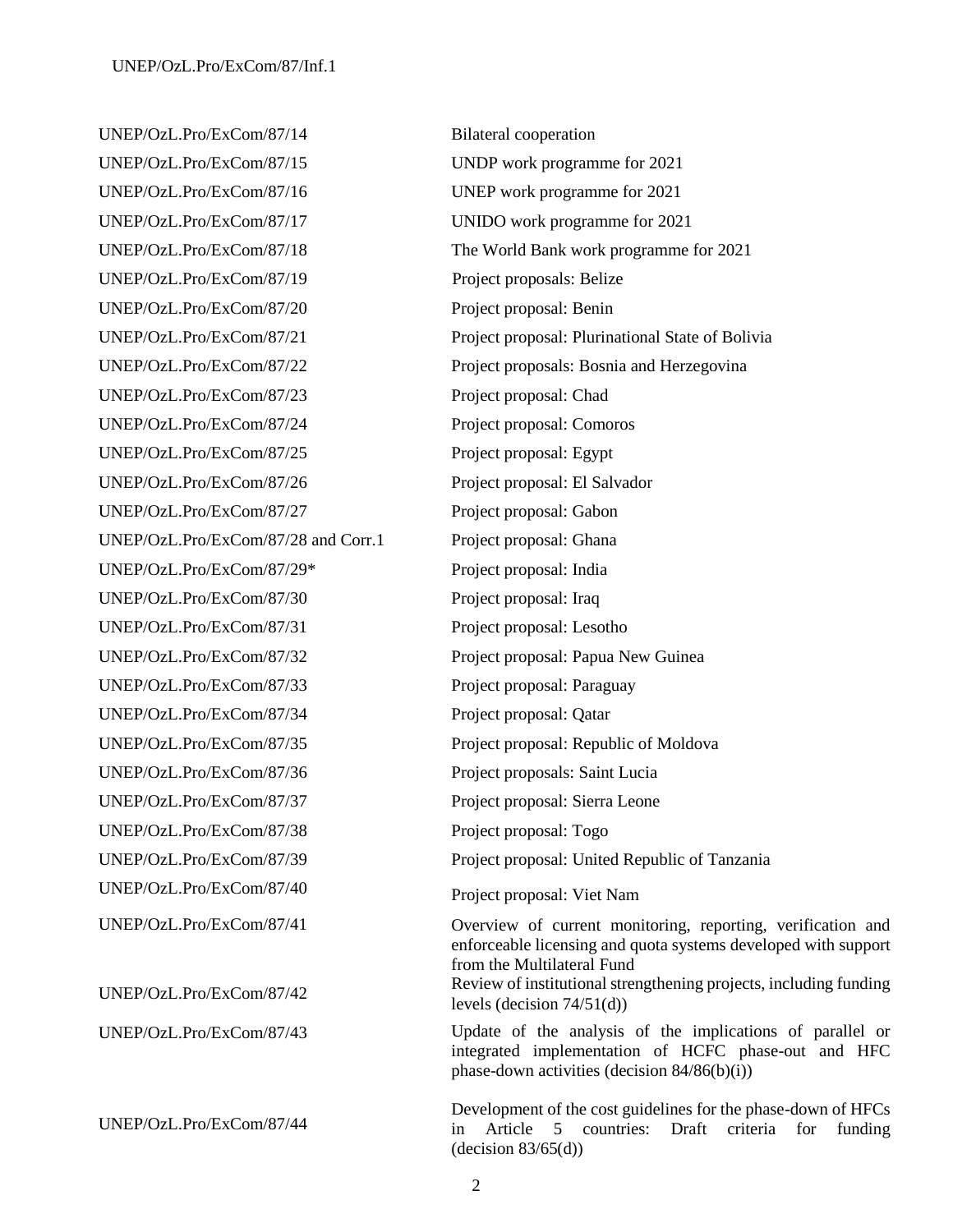UNEP/OzL.Pro/ExCom/87/14 Bilateral cooperation UNEP/OzL.Pro/ExCom/87/15 UNDP work programme for 2021 UNEP/OzL.Pro/ExCom/87/16 UNEP work programme for 2021 UNEP/OzL.Pro/ExCom/87/17 UNIDO work programme for 2021 UNEP/OzL.Pro/ExCom/87/19 Project proposals: Belize UNEP/OzL.Pro/ExCom/87/20 Project proposal: Benin UNEP/OzL.Pro/ExCom/87/23 Project proposal: Chad UNEP/OzL.Pro/ExCom/87/24 Project proposal: Comoros UNEP/OzL.Pro/ExCom/87/25 Project proposal: Egypt UNEP/OzL.Pro/ExCom/87/26 Project proposal: El Salvador UNEP/OzL.Pro/ExCom/87/27 Project proposal: Gabon UNEP/OzL.Pro/ExCom/87/28 and Corr.1 Project proposal: Ghana UNEP/OzL.Pro/ExCom/87/29\* Project proposal: India UNEP/OzL.Pro/ExCom/87/30 Project proposal: Iraq UNEP/OzL.Pro/ExCom/87/31 Project proposal: Lesotho UNEP/OzL.Pro/ExCom/87/32 Project proposal: Papua New Guinea UNEP/OzL.Pro/ExCom/87/33 Project proposal: Paraguay UNEP/OzL.Pro/ExCom/87/34 Project proposal: Qatar UNEP/OzL.Pro/ExCom/87/36 Project proposals: Saint Lucia UNEP/OzL.Pro/ExCom/87/37 Project proposal: Sierra Leone UNEP/OzL.Pro/ExCom/87/38 Project proposal: Togo UNEP/OzL.Pro/ExCom/87/40 Project proposal: Viet Nam

UNEP/OzL.Pro/ExCom/87/44

UNEP/OzL.Pro/ExCom/87/18 The World Bank work programme for 2021 UNEP/OzL.Pro/ExCom/87/21 Project proposal: Plurinational State of Bolivia UNEP/OzL.Pro/ExCom/87/22 Project proposals: Bosnia and Herzegovina UNEP/OzL.Pro/ExCom/87/35 Project proposal: Republic of Moldova UNEP/OzL.Pro/ExCom/87/39 Project proposal: United Republic of Tanzania UNEP/OzL.Pro/ExCom/87/41 Overview of current monitoring, reporting, verification and enforceable licensing and quota systems developed with support from the Multilateral Fund UNEP/OzL.Pro/ExCom/87/42 Review of institutional strengthening projects, including funding levels (decision 74/51(d)) UNEP/OzL.Pro/ExCom/87/43 Update of the analysis of the implications of parallel or integrated implementation of HCFC phase-out and HFC phase-down activities (decision 84/86(b)(i)) Development of the cost guidelines for the phase-down of HFCs

in Article 5 countries: Draft criteria for funding

 $(decision 83/65(d))$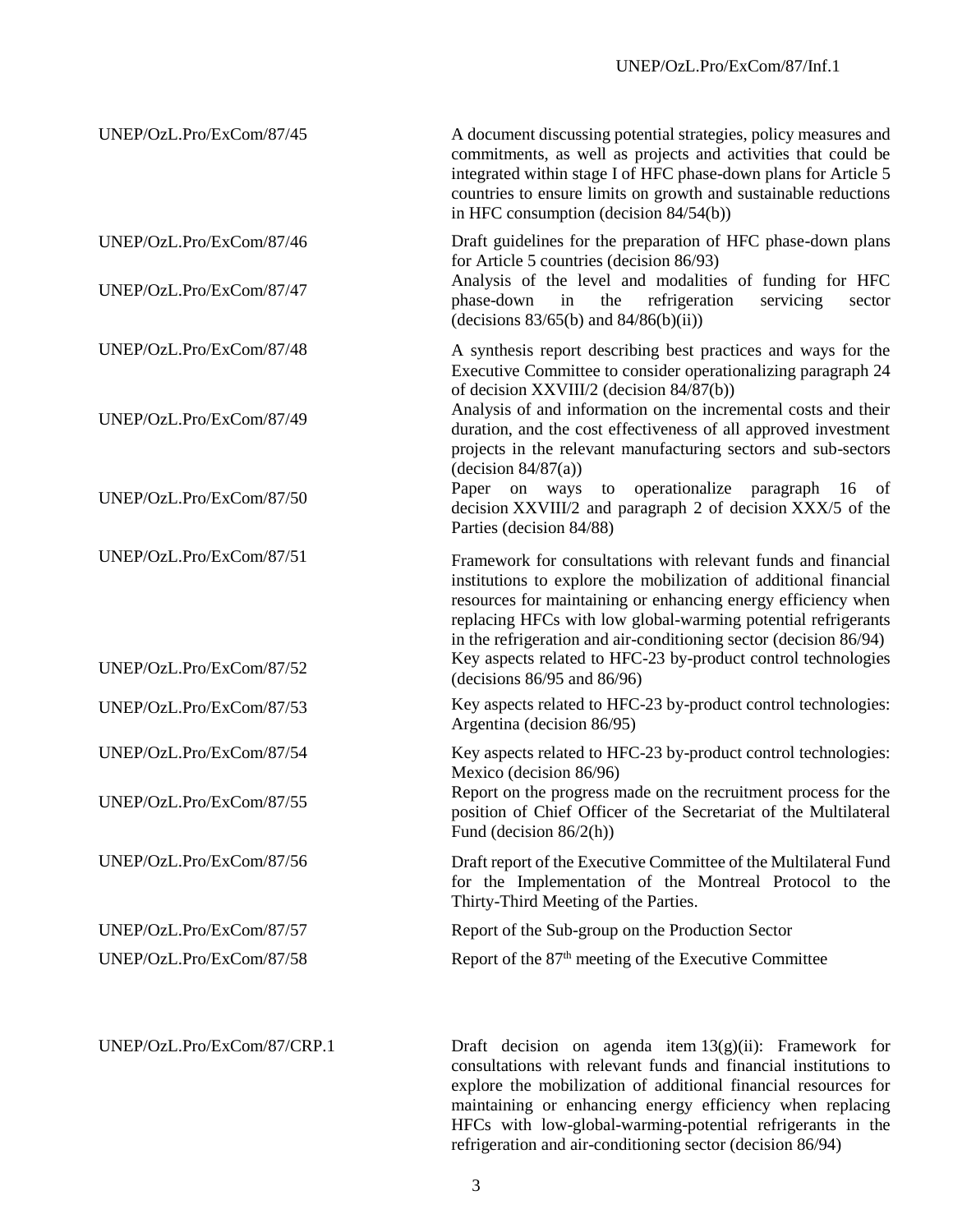| UNEP/OzL.Pro/ExCom/87/45                             | A document discussing potential strategies, policy measures and<br>commitments, as well as projects and activities that could be<br>integrated within stage I of HFC phase-down plans for Article 5<br>countries to ensure limits on growth and sustainable reductions<br>in HFC consumption (decision $84/54(b)$ )                                                                                                                           |
|------------------------------------------------------|-----------------------------------------------------------------------------------------------------------------------------------------------------------------------------------------------------------------------------------------------------------------------------------------------------------------------------------------------------------------------------------------------------------------------------------------------|
| UNEP/OzL.Pro/ExCom/87/46                             | Draft guidelines for the preparation of HFC phase-down plans<br>for Article 5 countries (decision 86/93)<br>Analysis of the level and modalities of funding for HFC                                                                                                                                                                                                                                                                           |
| UNEP/OzL.Pro/ExCom/87/47                             | refrigeration<br>servicing<br>phase-down<br>in<br>the<br>sector<br>(decisions $83/65(b)$ and $84/86(b)(ii)$ )                                                                                                                                                                                                                                                                                                                                 |
| UNEP/OzL.Pro/ExCom/87/48                             | A synthesis report describing best practices and ways for the<br>Executive Committee to consider operationalizing paragraph 24<br>of decision XXVIII/2 (decision 84/87(b))                                                                                                                                                                                                                                                                    |
| UNEP/OzL.Pro/ExCom/87/49                             | Analysis of and information on the incremental costs and their<br>duration, and the cost effectiveness of all approved investment<br>projects in the relevant manufacturing sectors and sub-sectors<br>(decision 84/87(a))                                                                                                                                                                                                                    |
| UNEP/OzL.Pro/ExCom/87/50                             | Paper on ways to operationalize paragraph 16 of<br>decision XXVIII/2 and paragraph 2 of decision XXX/5 of the<br>Parties (decision 84/88)                                                                                                                                                                                                                                                                                                     |
| UNEP/OzL.Pro/ExCom/87/51<br>UNEP/OzL.Pro/ExCom/87/52 | Framework for consultations with relevant funds and financial<br>institutions to explore the mobilization of additional financial<br>resources for maintaining or enhancing energy efficiency when<br>replacing HFCs with low global-warming potential refrigerants<br>in the refrigeration and air-conditioning sector (decision 86/94)<br>Key aspects related to HFC-23 by-product control technologies<br>(decisions $86/95$ and $86/96$ ) |
| UNEP/OzL.Pro/ExCom/87/53                             | Key aspects related to HFC-23 by-product control technologies:<br>Argentina (decision 86/95)                                                                                                                                                                                                                                                                                                                                                  |
| UNEP/OzL.Pro/ExCom/87/54                             | Key aspects related to HFC-23 by-product control technologies:<br>Mexico (decision 86/96)                                                                                                                                                                                                                                                                                                                                                     |
| UNEP/OzL.Pro/ExCom/87/55                             | Report on the progress made on the recruitment process for the<br>position of Chief Officer of the Secretariat of the Multilateral<br>Fund (decision $86/2(h)$ )                                                                                                                                                                                                                                                                              |
| UNEP/OzL.Pro/ExCom/87/56                             | Draft report of the Executive Committee of the Multilateral Fund<br>for the Implementation of the Montreal Protocol to the<br>Thirty-Third Meeting of the Parties.                                                                                                                                                                                                                                                                            |
| UNEP/OzL.Pro/ExCom/87/57                             | Report of the Sub-group on the Production Sector                                                                                                                                                                                                                                                                                                                                                                                              |
| UNEP/OzL.Pro/ExCom/87/58                             | Report of the 87 <sup>th</sup> meeting of the Executive Committee                                                                                                                                                                                                                                                                                                                                                                             |
| UNEP/OzL.Pro/ExCom/87/CRP.1                          | Draft decision on agenda item $13(g)(ii)$ : Framework for<br>consultations with relevant funds and financial institutions to<br>explore the mobilization of additional financial resources for                                                                                                                                                                                                                                                |

maintaining or enhancing energy efficiency when replacing HFCs with low-global-warming-potential refrigerants in the refrigeration and air-conditioning sector (decision 86/94)